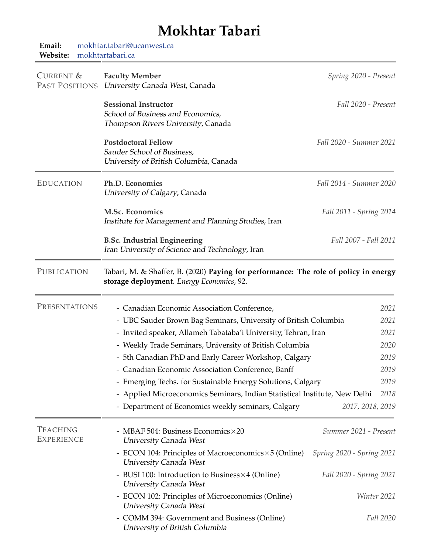## **Mokhtar Tabari**

| Email:<br>Website:                   | mokhtar.tabari@ucanwest.ca<br>mokhtartabari.ca                                                                                    |                           |  |
|--------------------------------------|-----------------------------------------------------------------------------------------------------------------------------------|---------------------------|--|
| CURRENT &<br>PAST POSITIONS          | <b>Faculty Member</b><br>University Canada West, Canada                                                                           | Spring 2020 - Present     |  |
|                                      | <b>Sessional Instructor</b><br>School of Business and Economics,<br>Thompson Rivers University, Canada                            | Fall 2020 - Present       |  |
|                                      | <b>Postdoctoral Fellow</b><br>Sauder School of Business,<br>University of British Columbia, Canada                                | Fall 2020 - Summer 2021   |  |
| <b>EDUCATION</b>                     | Ph.D. Economics<br>University of Calgary, Canada                                                                                  | Fall 2014 - Summer 2020   |  |
|                                      | M.Sc. Economics<br>Institute for Management and Planning Studies, Iran                                                            | Fall 2011 - Spring 2014   |  |
|                                      | <b>B.Sc. Industrial Engineering</b><br>Iran University of Science and Technology, Iran                                            | Fall 2007 - Fall 2011     |  |
| PUBLICATION                          | Tabari, M. & Shaffer, B. (2020) Paying for performance: The role of policy in energy<br>storage deployment. Energy Economics, 92. |                           |  |
| PRESENTATIONS                        | - Canadian Economic Association Conference,                                                                                       | 2021                      |  |
|                                      | - UBC Sauder Brown Bag Seminars, University of British Columbia                                                                   | 2021                      |  |
|                                      | - Invited speaker, Allameh Tabataba'i University, Tehran, Iran<br>2021                                                            |                           |  |
|                                      | - Weekly Trade Seminars, University of British Columbia<br>2020                                                                   |                           |  |
|                                      | 5th Canadian PhD and Early Career Workshop, Calgary                                                                               | 2019                      |  |
|                                      | - Canadian Economic Association Conference, Banff                                                                                 | 2019                      |  |
|                                      | - Emerging Techs. for Sustainable Energy Solutions, Calgary                                                                       | 2019                      |  |
|                                      | - Applied Microeconomics Seminars, Indian Statistical Institute, New Delhi<br>2018                                                |                           |  |
|                                      | - Department of Economics weekly seminars, Calgary                                                                                | 2017, 2018, 2019          |  |
| <b>TEACHING</b><br><b>EXPERIENCE</b> | - MBAF 504: Business Economics × 20<br><b>University Canada West</b>                                                              | Summer 2021 - Present     |  |
|                                      | - ECON 104: Principles of Macroeconomics $\times$ 5 (Online)<br><b>University Canada West</b>                                     | Spring 2020 - Spring 2021 |  |
|                                      | - BUSI 100: Introduction to Business $\times$ 4 (Online)<br><b>University Canada West</b>                                         | Fall 2020 - Spring 2021   |  |
|                                      | - ECON 102: Principles of Microeconomics (Online)<br><b>University Canada West</b>                                                | Winter 2021               |  |
|                                      | - COMM 394: Government and Business (Online)<br>University of British Columbia                                                    | Fall 2020                 |  |